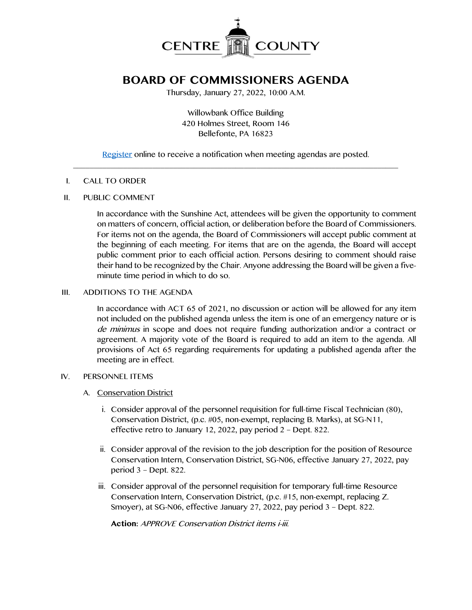

# **BOARD OF COMMISSIONERS AGENDA**

Thursday, January 27, 2022, 10:00 A.M.

Willowbank Office Building 420 Holmes Street, Room 146 Bellefonte, PA 16823

[Register](http://www.centrecountypa.gov/AgendaCenter) online to receive a notification when meeting agendas are posted.  $\overline{\phantom{a}}$  , and the contribution of the contribution of the contribution of the contribution of the contribution of the contribution of the contribution of the contribution of the contribution of the contribution of the

#### I. CALL TO ORDER

#### II. PUBLIC COMMENT

In accordance with the Sunshine Act, attendees will be given the opportunity to comment on matters of concern, official action, or deliberation before the Board of Commissioners. For items not on the agenda, the Board of Commissioners will accept public comment at the beginning of each meeting. For items that are on the agenda, the Board will accept public comment prior to each official action. Persons desiring to comment should raise their hand to be recognized by the Chair. Anyone addressing the Board will be given a fiveminute time period in which to do so.

## III. ADDITIONS TO THE AGENDA

In accordance with ACT 65 of 2021, no discussion or action will be allowed for any item not included on the published agenda unless the item is one of an emergency nature or is de minimus in scope and does not require funding authorization and/or a contract or agreement. A majority vote of the Board is required to add an item to the agenda. All provisions of Act 65 regarding requirements for updating a published agenda after the meeting are in effect.

#### IV. PERSONNEL ITEMS

## A. Conservation District

- i. Consider approval of the personnel requisition for full-time Fiscal Technician (80), Conservation District, (p.c. #05, non-exempt, replacing B. Marks), at SG-N11, effective retro to January 12, 2022, pay period 2 – Dept. 822.
- ii. Consider approval of the revision to the job description for the position of Resource Conservation Intern, Conservation District, SG-N06, effective January 27, 2022, pay period 3 – Dept. 822.
- iii. Consider approval of the personnel requisition for temporary full-time Resource Conservation Intern, Conservation District, (p.c. #15, non-exempt, replacing Z. Smoyer), at SG-N06, effective January 27, 2022, pay period 3 – Dept. 822.

**Action:** APPROVE Conservation District items i-iii.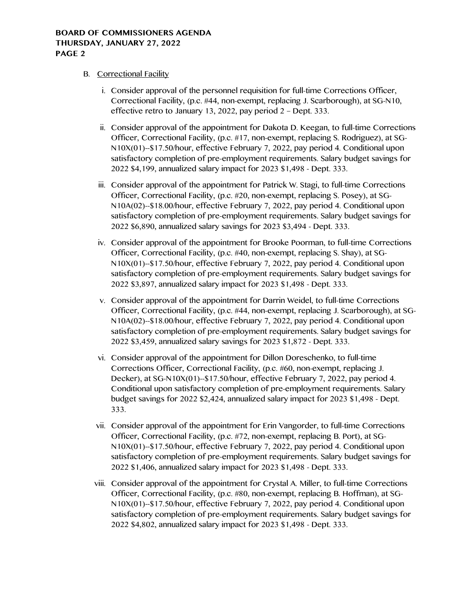# B. Correctional Facility

- i. Consider approval of the personnel requisition for full-time Corrections Officer, Correctional Facility, (p.c. #44, non-exempt, replacing J. Scarborough), at SG-N10, effective retro to January 13, 2022, pay period 2 – Dept. 333.
- ii. Consider approval of the appointment for Dakota D. Keegan, to full-time Corrections Officer, Correctional Facility, (p.c. #17, non-exempt, replacing S. Rodriguez), at SG-N10X(01)--\$17.50/hour, effective February 7, 2022, pay period 4. Conditional upon satisfactory completion of pre-employment requirements. Salary budget savings for 2022 \$4,199, annualized salary impact for 2023 \$1,498 - Dept. 333.
- iii. Consider approval of the appointment for Patrick W. Stagi, to full-time Corrections Officer, Correctional Facility, (p.c. #20, non-exempt, replacing S. Posey), at SG-N10A(02)--\$18.00/hour, effective February 7, 2022, pay period 4. Conditional upon satisfactory completion of pre-employment requirements. Salary budget savings for 2022 \$6,890, annualized salary savings for 2023 \$3,494 - Dept. 333.
- iv. Consider approval of the appointment for Brooke Poorman, to full-time Corrections Officer, Correctional Facility, (p.c. #40, non-exempt, replacing S. Shay), at SG-N10X(01)--\$17.50/hour, effective February 7, 2022, pay period 4. Conditional upon satisfactory completion of pre-employment requirements. Salary budget savings for 2022 \$3,897, annualized salary impact for 2023 \$1,498 - Dept. 333.
- v. Consider approval of the appointment for Darrin Weidel, to full-time Corrections Officer, Correctional Facility, (p.c. #44, non-exempt, replacing J. Scarborough), at SG-N10A(02)--\$18.00/hour, effective February 7, 2022, pay period 4. Conditional upon satisfactory completion of pre-employment requirements. Salary budget savings for 2022 \$3,459, annualized salary savings for 2023 \$1,872 - Dept. 333.
- vi. Consider approval of the appointment for Dillon Doreschenko, to full-time Corrections Officer, Correctional Facility, (p.c. #60, non-exempt, replacing J. Decker), at SG-N10X(01)--\$17.50/hour, effective February 7, 2022, pay period 4. Conditional upon satisfactory completion of pre-employment requirements. Salary budget savings for 2022 \$2,424, annualized salary impact for 2023 \$1,498 - Dept. 333.
- vii. Consider approval of the appointment for Erin Vangorder, to full-time Corrections Officer, Correctional Facility, (p.c. #72, non-exempt, replacing B. Port), at SG-N10X(01)--\$17.50/hour, effective February 7, 2022, pay period 4. Conditional upon satisfactory completion of pre-employment requirements. Salary budget savings for 2022 \$1,406, annualized salary impact for 2023 \$1,498 - Dept. 333.
- viii. Consider approval of the appointment for Crystal A. Miller, to full-time Corrections Officer, Correctional Facility, (p.c. #80, non-exempt, replacing B. Hoffman), at SG-N10X(01)--\$17.50/hour, effective February 7, 2022, pay period 4. Conditional upon satisfactory completion of pre-employment requirements. Salary budget savings for 2022 \$4,802, annualized salary impact for 2023 \$1,498 - Dept. 333.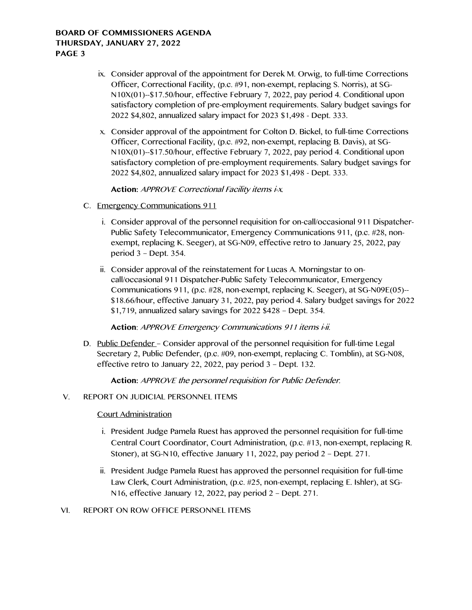- ix. Consider approval of the appointment for Derek M. Orwig, to full-time Corrections Officer, Correctional Facility, (p.c. #91, non-exempt, replacing S. Norris), at SG-N10X(01)--\$17.50/hour, effective February 7, 2022, pay period 4. Conditional upon satisfactory completion of pre-employment requirements. Salary budget savings for 2022 \$4,802, annualized salary impact for 2023 \$1,498 - Dept. 333.
- x. Consider approval of the appointment for Colton D. Bickel, to full-time Corrections Officer, Correctional Facility, (p.c. #92, non-exempt, replacing B. Davis), at SG-N10X(01)--\$17.50/hour, effective February 7, 2022, pay period 4. Conditional upon satisfactory completion of pre-employment requirements. Salary budget savings for 2022 \$4,802, annualized salary impact for 2023 \$1,498 - Dept. 333.

**Action:** APPROVE Correctional Facility items i-x.

- C. Emergency Communications 911
	- i. Consider approval of the personnel requisition for on-call/occasional 911 Dispatcher-Public Safety Telecommunicator, Emergency Communications 911, (p.c. #28, nonexempt, replacing K. Seeger), at SG-N09, effective retro to January 25, 2022, pay period 3 – Dept. 354.
	- ii. Consider approval of the reinstatement for Lucas A. Morningstar to oncall/occasional 911 Dispatcher-Public Safety Telecommunicator, Emergency Communications 911, (p.c. #28, non-exempt, replacing K. Seeger), at SG-N09E(05)-- \$18.66/hour, effective January 31, 2022, pay period 4. Salary budget savings for 2022 \$1,719, annualized salary savings for 2022 \$428 – Dept. 354.

## **Action**: APPROVE Emergency Communications 911 items i-ii.

D. Public Defender - Consider approval of the personnel requisition for full-time Legal Secretary 2, Public Defender, (p.c. #09, non-exempt, replacing C. Tomblin), at SG-N08, effective retro to January 22, 2022, pay period 3 – Dept. 132.

**Action:** APPROVE the personnel requisition for Public Defender.

## V. REPORT ON JUDICIAL PERSONNEL ITEMS

# Court Administration

- i. President Judge Pamela Ruest has approved the personnel requisition for full-time Central Court Coordinator, Court Administration, (p.c. #13, non-exempt, replacing R. Stoner), at SG-N10, effective January 11, 2022, pay period 2 – Dept. 271.
- ii. President Judge Pamela Ruest has approved the personnel requisition for full-time Law Clerk, Court Administration, (p.c. #25, non-exempt, replacing E. Ishler), at SG-N16, effective January 12, 2022, pay period 2 – Dept. 271.

## VI. REPORT ON ROW OFFICE PERSONNEL ITEMS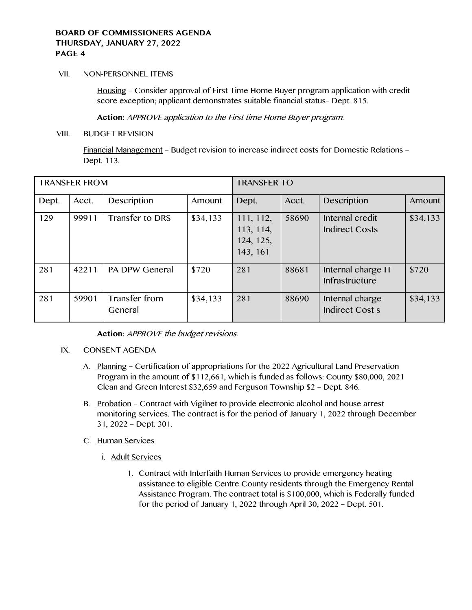#### VII. NON-PERSONNEL ITEMS

Housing – Consider approval of First Time Home Buyer program application with credit score exception; applicant demonstrates suitable financial status– Dept. 815.

**Action:** APPROVE application to the First time Home Buyer program.

#### VIII. BUDGET REVISION

Financial Management – Budget revision to increase indirect costs for Domestic Relations – Dept. 113.

| <b>TRANSFER FROM</b> |       |                          |          | <b>TRANSFER TO</b>                              |       |                                          |          |
|----------------------|-------|--------------------------|----------|-------------------------------------------------|-------|------------------------------------------|----------|
| Dept.                | Acct. | Description              | Amount   | Dept.                                           | Acct. | Description                              | Amount   |
| 129                  | 99911 | Transfer to DRS          | \$34,133 | 111, 112,<br>113, 114,<br>124, 125,<br>143, 161 | 58690 | Internal credit<br><b>Indirect Costs</b> | \$34,133 |
| 281                  | 42211 | <b>PA DPW General</b>    | \$720    | 281                                             | 88681 | Internal charge IT<br>Infrastructure     | \$720    |
| 281                  | 59901 | Transfer from<br>General | \$34,133 | 281                                             | 88690 | Internal charge<br>Indirect Cost s       | \$34,133 |

**Action:** APPROVE the budget revisions.

## IX. CONSENT AGENDA

- A. Planning Certification of appropriations for the 2022 Agricultural Land Preservation Program in the amount of \$112,661, which is funded as follows: County \$80,000, 2021 Clean and Green Interest \$32,659 and Ferguson Township \$2 – Dept. 846.
- B. Probation Contract with Vigilnet to provide electronic alcohol and house arrest monitoring services. The contract is for the period of January 1, 2022 through December 31, 2022 – Dept. 301.
- C. Human Services
	- i. Adult Services
		- 1. Contract with Interfaith Human Services to provide emergency heating assistance to eligible Centre County residents through the Emergency Rental Assistance Program. The contract total is \$100,000, which is Federally funded for the period of January 1, 2022 through April 30, 2022 – Dept. 501.